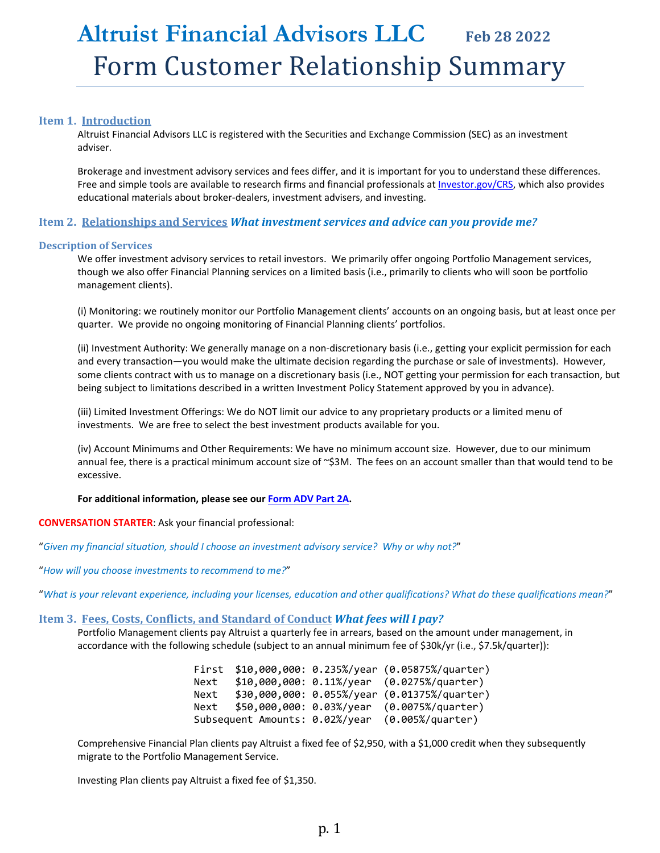# **Altruist Financial Advisors LLC Feb <sup>28</sup> <sup>2022</sup>** Form Customer Relationship Summary

## **Item 1. Introduction**

Altruist Financial Advisors LLC is registered with the Securities and Exchange Commission (SEC) as an investment adviser.

Brokerage and investment advisory services and fees differ, and it is important for you to understand these differences. Free and simple tools are available to research firms and financial professionals at Investor.gov/CRS, which also provides educational materials about broker‐dealers, investment advisers, and investing.

## **Item 2. Relationships and Services** *What investment services and advice can you provide me?*

## **Description of Services**

We offer investment advisory services to retail investors. We primarily offer ongoing Portfolio Management services, though we also offer Financial Planning services on a limited basis (i.e., primarily to clients who will soon be portfolio management clients).

(i) Monitoring: we routinely monitor our Portfolio Management clients' accounts on an ongoing basis, but at least once per quarter. We provide no ongoing monitoring of Financial Planning clients' portfolios.

(ii) Investment Authority: We generally manage on a non‐discretionary basis (i.e., getting your explicit permission for each and every transaction—you would make the ultimate decision regarding the purchase or sale of investments). However, some clients contract with us to manage on a discretionary basis (i.e., NOT getting your permission for each transaction, but being subject to limitations described in a written Investment Policy Statement approved by you in advance).

(iii) Limited Investment Offerings: We do NOT limit our advice to any proprietary products or a limited menu of investments. We are free to select the best investment products available for you.

(iv) Account Minimums and Other Requirements: We have no minimum account size. However, due to our minimum annual fee, there is a practical minimum account size of ~\$3M. The fees on an account smaller than that would tend to be excessive.

## **For additional information, please see our Form ADV Part 2A.**

## **CONVERSATION STARTER**: Ask your financial professional:

"*Given my financial situation, should I choose an investment advisory service? Why or why not?*"

"*How will you choose investments to recommend to me?*"

"What is your relevant experience, including your licenses, education and other qualifications? What do these qualifications mean?"

## **Item 3. Fees, Costs, Conflicts, and Standard of Conduct** *What fees will I pay?*

Portfolio Management clients pay Altruist a quarterly fee in arrears, based on the amount under management, in accordance with the following schedule (subject to an annual minimum fee of \$30k/yr (i.e., \$7.5k/quarter)):

> First \$10,000,000: 0.235%/year (0.05875%/quarter) Next \$10,000,000: 0.11%/year (0.0275%/quarter) Next \$30,000,000: 0.055%/year (0.01375%/quarter) Next \$50,000,000: 0.03%/year (0.0075%/quarter) Subsequent Amounts: 0.02%/year (0.005%/quarter)

Comprehensive Financial Plan clients pay Altruist a fixed fee of \$2,950, with a \$1,000 credit when they subsequently migrate to the Portfolio Management Service.

Investing Plan clients pay Altruist a fixed fee of \$1,350.